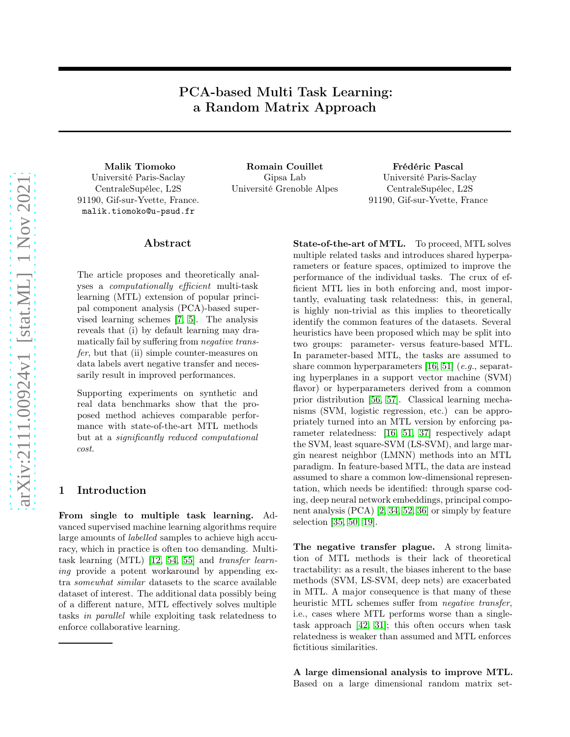# PCA-based Multi Task Learning: a Random Matrix Approach

Université Paris-Saclay CentraleSupélec, L2S 91190, Gif-sur-Yvette, France. malik.tiomoko@u-psud.fr

Malik Tiomoko **Romain Couillet** Frédéric Pascal Gipsa Lab Université Grenoble Alpes

Université Paris-Saclay CentraleSupélec, L2S 91190, Gif-sur-Yvette, France

#### Abstract

The article proposes and theoretically analyses a computationally efficient multi-task learning (MTL) extension of popular principal component analysis (PCA)-based supervised learning schemes [\[7,](#page-8-0) [5\]](#page-8-1). The analysis reveals that (i) by default learning may dramatically fail by suffering from negative transfer, but that (ii) simple counter-measures on data labels avert negative transfer and necessarily result in improved performances.

Supporting experiments on synthetic and real data benchmarks show that the proposed method achieves comparable performance with state-of-the-art MTL methods but at a significantly reduced computational cost.

#### 1 Introduction

From single to multiple task learning. Advanced supervised machine learning algorithms require large amounts of labelled samples to achieve high accuracy, which in practice is often too demanding. Multitask learning (MTL) [\[12,](#page-8-2) [54,](#page-10-0) [55\]](#page-10-1) and transfer learning provide a potent workaround by appending extra somewhat similar datasets to the scarce available dataset of interest. The additional data possibly being of a different nature, MTL effectively solves multiple tasks in parallel while exploiting task relatedness to enforce collaborative learning.

State-of-the-art of MTL. To proceed, MTL solves multiple related tasks and introduces shared hyperparameters or feature spaces, optimized to improve the performance of the individual tasks. The crux of efficient MTL lies in both enforcing and, most importantly, evaluating task relatedness: this, in general, is highly non-trivial as this implies to theoretically identify the common features of the datasets. Several heuristics have been proposed which may be split into two groups: parameter- versus feature-based MTL. In parameter-based MTL, the tasks are assumed to share common hyperparameters [\[16,](#page-8-3) [51\]](#page-10-2)  $(e.g., separate)$ ing hyperplanes in a support vector machine (SVM) flavor) or hyperparameters derived from a common prior distribution [\[56,](#page-10-3) [57\]](#page-10-4). Classical learning mechanisms (SVM, logistic regression, etc.) can be appropriately turned into an MTL version by enforcing parameter relatedness: [\[16,](#page-8-3) [51,](#page-10-2) [37\]](#page-9-0) respectively adapt the SVM, least square-SVM (LS-SVM), and large margin nearest neighbor (LMNN) methods into an MTL paradigm. In feature-based MTL, the data are instead assumed to share a common low-dimensional representation, which needs be identified: through sparse coding, deep neural network embeddings, principal component analysis (PCA) [\[2,](#page-7-0) [34,](#page-9-1) [52,](#page-10-5) [36\]](#page-9-2) or simply by feature selection [\[35,](#page-9-3) [50,](#page-10-6) [19\]](#page-8-4).

The negative transfer plague. A strong limitation of MTL methods is their lack of theoretical tractability: as a result, the biases inherent to the base methods (SVM, LS-SVM, deep nets) are exacerbated in MTL. A major consequence is that many of these heuristic MTL schemes suffer from negative transfer, i.e., cases where MTL performs worse than a singletask approach [\[42,](#page-10-7) [31\]](#page-9-4); this often occurs when task relatedness is weaker than assumed and MTL enforces fictitious similarities.

A large dimensional analysis to improve MTL. Based on a large dimensional random matrix set-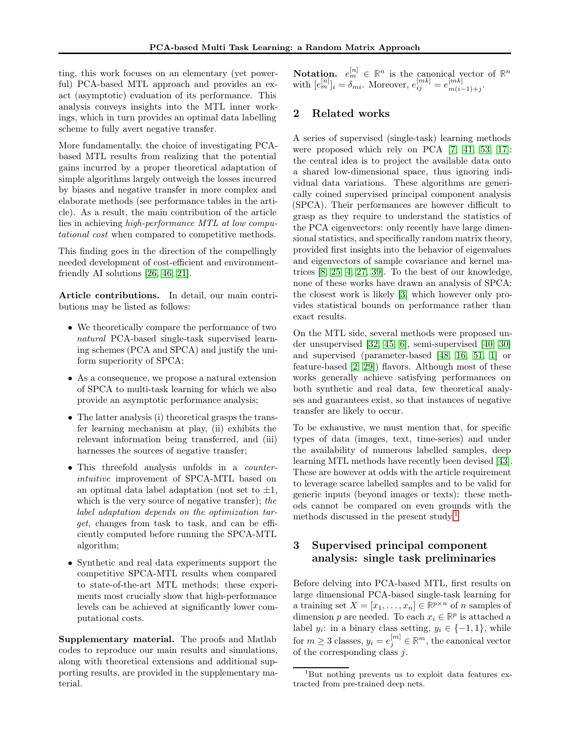ting, this work focuses on an elementary (yet powerful) PCA-based MTL approach and provides an exact (asymptotic) evaluation of its performance. This analysis conveys insights into the MTL inner workings, which in turn provides an optimal data labelling scheme to fully avert negative transfer.

More fundamentally, the choice of investigating PCAbased MTL results from realizing that the potential gains incurred by a proper theoretical adaptation of simple algorithms largely outweigh the losses incurred by biases and negative transfer in more complex and elaborate methods (see performance tables in the article). As a result, the main contribution of the article lies in achieving high-performance MTL at low computational cost when compared to competitive methods.

This finding goes in the direction of the compellingly needed development of cost-efficient and environmentfriendly AI solutions [\[26,](#page-9-5) [46,](#page-10-8) [21\]](#page-9-6).

Article contributions. In detail, our main contributions may be listed as follows:

- We theoretically compare the performance of two natural PCA-based single-task supervised learning schemes (PCA and SPCA) and justify the uniform superiority of SPCA;
- As a consequence, we propose a natural extension of SPCA to multi-task learning for which we also provide an asymptotic performance analysis;
- The latter analysis (i) theoretical grasps the transfer learning mechanism at play, (ii) exhibits the relevant information being transferred, and (iii) harnesses the sources of negative transfer;
- This threefold analysis unfolds in a counterintuitive improvement of SPCA-MTL based on an optimal data label adaptation (not set to  $\pm 1$ , which is the very source of negative transfer); the label adaptation depends on the optimization target, changes from task to task, and can be efficiently computed before running the SPCA-MTL algorithm;
- Synthetic and real data experiments support the competitive SPCA-MTL results when compared to state-of-the-art MTL methods; these experiments most crucially show that high-performance levels can be achieved at significantly lower computational costs.

Supplementary material. The proofs and Matlab codes to reproduce our main results and simulations, along with theoretical extensions and additional supporting results, are provided in the supplementary material.

**Notation.**  $e_m^{[n]} \in \mathbb{R}^n$  is the canonical vector of  $\mathbb{R}^n$ with  $[e_m^{[n]}]_i = \delta_{mi}$ . Moreover,  $e_{ij}^{[mk]} = e_{m(i)}^{[mk]}$  $\frac{m}{m(i-1)+j}$ .

#### 2 Related works

A series of supervised (single-task) learning methods were proposed which rely on PCA [\[7,](#page-8-0) [41,](#page-9-7) [53,](#page-10-9) [17\]](#page-8-5): the central idea is to project the available data onto a shared low-dimensional space, thus ignoring individual data variations. These algorithms are generically coined supervised principal component analysis (SPCA). Their performances are however difficult to grasp as they require to understand the statistics of the PCA eigenvectors: only recently have large dimensional statistics, and specifically random matrix theory, provided first insights into the behavior of eigenvalues and eigenvectors of sample covariance and kernel matrices [\[8,](#page-8-6) [25,](#page-9-8) [4,](#page-8-7) [27,](#page-9-9) [39\]](#page-9-10). To the best of our knowledge, none of these works have drawn an analysis of SPCA: the closest work is likely [\[3\]](#page-8-8) which however only provides statistical bounds on performance rather than exact results.

On the MTL side, several methods were proposed under unsupervised [\[32,](#page-9-11) [45,](#page-10-10) [6\]](#page-8-9), semi-supervised [\[40,](#page-9-12) [30\]](#page-9-13) and supervised (parameter-based [\[48,](#page-10-11) [16,](#page-8-3) [51,](#page-10-2) [1\]](#page-7-1) or feature-based [\[2,](#page-7-0) [29\]](#page-9-14)) flavors. Although most of these works generally achieve satisfying performances on both synthetic and real data, few theoretical analyses and guarantees exist, so that instances of negative transfer are likely to occur.

To be exhaustive, we must mention that, for specific types of data (images, text, time-series) and under the availability of numerous labelled samples, deep learning MTL methods have recently been devised [\[43\]](#page-10-12). These are however at odds with the article requirement to leverage scarce labelled samples and to be valid for generic inputs (beyond images or texts): these methods cannot be compared on even grounds with the methods discussed in the present study.<sup>[1](#page-1-0)</sup>

## <span id="page-1-1"></span>3 Supervised principal component analysis: single task preliminaries

Before delving into PCA-based MTL, first results on large dimensional PCA-based single-task learning for a training set  $X = [x_1, \ldots, x_n] \in \mathbb{R}^{p \times n}$  of *n* samples of dimension p are needed. To each  $x_i \in \mathbb{R}^p$  is attached a label  $y_i$ : in a binary class setting,  $y_i \in \{-1, 1\}$ , while for  $m \geq 3$  classes,  $y_i = e_j^{[m]} \in \mathbb{R}^m$ , the canonical vector of the corresponding class j.

<span id="page-1-0"></span><sup>1</sup>But nothing prevents us to exploit data features extracted from pre-trained deep nets.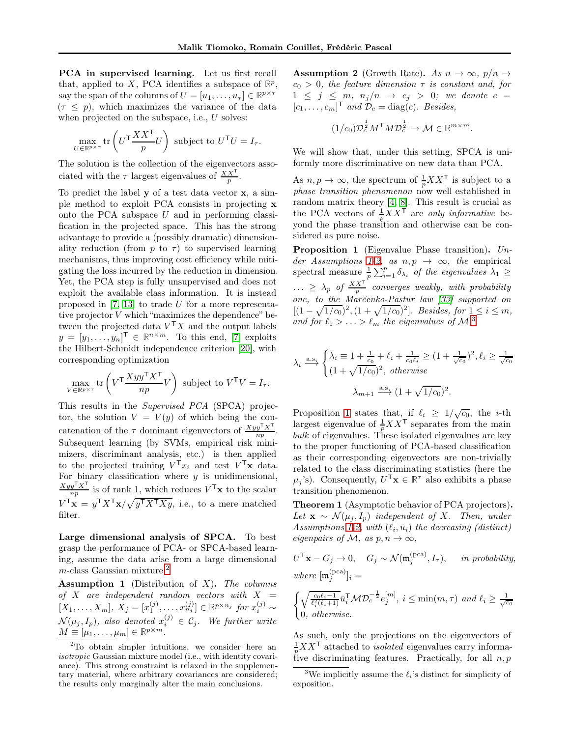PCA in supervised learning. Let us first recall that, applied to X, PCA identifies a subspace of  $\mathbb{R}^p$ , say the span of the columns of  $U = [u_1, \ldots, u_\tau] \in \mathbb{R}^{p \times \tau}$  $(\tau \leq p)$ , which maximizes the variance of the data when projected on the subspace, i.e., U solves:

$$
\max_{U \in \mathbb{R}^{p \times \tau}} \text{tr}\left(U^{\mathsf{T}} \frac{XX^{\mathsf{T}}}{p} U\right) \text{ subject to } U^{\mathsf{T}} U = I_{\tau}.
$$

The solution is the collection of the eigenvectors associated with the  $\tau$  largest eigenvalues of  $\frac{XX^{\mathsf{T}}}{p}$ .

To predict the label y of a test data vector x, a simple method to exploit PCA consists in projecting x onto the PCA subspace  $U$  and in performing classification in the projected space. This has the strong advantage to provide a (possibly dramatic) dimensionality reduction (from p to  $\tau$ ) to supervised learning mechanisms, thus improving cost efficiency while mitigating the loss incurred by the reduction in dimension. Yet, the PCA step is fully unsupervised and does not exploit the available class information. It is instead proposed in [\[7,](#page-8-0) [13\]](#page-8-10) to trade U for a more representative projector V which "maximizes the dependence" between the projected data  $V<sup>T</sup>X$  and the output labels  $y = [y_1, \ldots, y_n]^\mathsf{T} \in \mathbb{R}^{n \times m}$ . To this end, [\[7\]](#page-8-0) exploits the Hilbert-Schmidt independence criterion [\[20\]](#page-9-15), with corresponding optimization

$$
\max_{V \in \mathbb{R}^{p \times \tau}} \text{tr}\left(V^{\mathsf{T}} \frac{X y y^{\mathsf{T}} X^{\mathsf{T}}}{n p} V\right) \text{ subject to } V^{\mathsf{T}} V = I_{\tau}.
$$

This results in the Supervised PCA (SPCA) projector, the solution  $V = V(y)$  of which being the concatenation of the  $\tau$  dominant eigenvectors of  $\frac{Xyy^\top X^\top}{np}$ . Subsequent learning (by SVMs, empirical risk minimizers, discriminant analysis, etc.) is then applied to the projected training  $V^{\mathsf{T}} x_i$  and test  $V^{\mathsf{T}} \mathbf{x}$  data. For binary classification where  $y$  is unidimensional,  $\frac{Xyy^{\mathsf{T}}X^{\mathsf{T}}}{np}$  is of rank 1, which reduces  $V^{\mathsf{T}}\mathbf{x}$  to the scalar  $V^{\mathsf{T}}\mathbf{x} = y^{\mathsf{T}}X^{\mathsf{T}}\mathbf{x}/\sqrt{y^{\mathsf{T}}X^{\mathsf{T}}Xy}$ , i.e., to a mere matched filter.

Large dimensional analysis of SPCA. To best grasp the performance of PCA- or SPCA-based learning, assume the data arise from a large dimensional  $m$ -class Gaussian mixture.<sup>[2](#page-2-0)</sup>

<span id="page-2-1"></span>**Assumption 1** (Distribution of  $X$ ). The columns of X are independent random vectors with  $X =$  $[X_1, \ldots, X_m], X_j = [x_1^{(j)}, \ldots, x_{n_j}^{(j)}] \in \mathbb{R}^{p \times n_j}$  for  $x_i^{(j)} \sim$  $\mathcal{N}(\mu_j,I_p)$ , also denoted  $x_i^{(j)} \in \mathcal{C}_j$ . We further write  $M \equiv [\mu_1, \ldots, \mu_m] \in \mathbb{R}^{p \times m}$ .

<span id="page-2-2"></span>**Assumption 2** (Growth Rate). As  $n \to \infty$ ,  $p/n \to$  $c_0 > 0$ , the feature dimension  $\tau$  is constant and, for  $1 \leq j \leq m$ ,  $n_j/n \rightarrow c_j > 0$ ; we denote  $c =$  $[c_1, \ldots, c_m]^\mathsf{T}$  and  $\mathcal{D}_c = \text{diag}(c)$ . Besides,

$$
(1/c_0)\mathcal{D}_c^{\frac{1}{2}}M^{\mathsf{T}}M\mathcal{D}_c^{\frac{1}{2}} \to \mathcal{M} \in \mathbb{R}^{m \times m}.
$$

We will show that, under this setting, SPCA is uniformly more discriminative on new data than PCA.

As  $n, p \to \infty$ , the spectrum of  $\frac{1}{p}XX^{\mathsf{T}}$  is subject to a phase transition phenomenon now well established in random matrix theory [\[4,](#page-8-7) [8\]](#page-8-6). This result is crucial as the PCA vectors of  $\frac{1}{p}XX^{\mathsf{T}}$  are only informative beyond the phase transition and otherwise can be considered as pure noise.

<span id="page-2-4"></span>Proposition 1 (Eigenvalue Phase transition). Un-der Assumptions [1](#page-2-1)[-2,](#page-2-2) as  $n, p \rightarrow \infty$ , the empirical spectral measure  $\frac{1}{p} \sum_{i=1}^p \delta_{\lambda_i}$  of the eigenvalues  $\lambda_1 \geq$  $\ldots \geq \lambda_p$  of  $\frac{XX^T}{p}$  converges weakly, with probability one, to the Mar˘cenko-Pastur law [\[33\]](#page-9-16) supported on  $[(1-\sqrt{1/c_0})^2, (1+\sqrt{1/c_0})^2]$ . Besides, for  $1 \le i \le m$ , and for  $\ell_1 > \ldots > \ell_m$  the eigenvalues of  $\mathcal{M},^3$  $\mathcal{M},^3$ 

$$
\lambda_i \xrightarrow{\text{a.s.}} \begin{cases} \bar{\lambda}_i \equiv 1 + \frac{1}{c_0} + \ell_i + \frac{1}{c_0 \ell_i} \ge (1 + \frac{1}{\sqrt{c_0}})^2, \ell_i \ge \frac{1}{\sqrt{c_0}} \\ (1 + \sqrt{1/c_0})^2, \text{ otherwise} \end{cases}
$$

$$
\lambda_{m+1} \xrightarrow{\text{a.s.}} (1 + \sqrt{1/c_0})^2.
$$

Proposition [1](#page-2-4) states that, if  $\ell_i \geq 1/\sqrt{c_0}$ , the *i*-th largest eigenvalue of  $\frac{1}{p}XX^{\mathsf{T}}$  separates from the main bulk of eigenvalues. These isolated eigenvalues are key to the proper functioning of PCA-based classification as their corresponding eigenvectors are non-trivially related to the class discriminating statistics (here the  $\mu_j$ 's). Consequently,  $U^{\mathsf{T}} \mathbf{x} \in \mathbb{R}^{\tau}$  also exhibits a phase transition phenomenon.

Theorem 1 (Asymptotic behavior of PCA projectors). Let  $\mathbf{x} \sim \mathcal{N}(\mu_j, I_p)$  independent of X. Then, under  $Assumptions$  [1](#page-2-1)[-2,](#page-2-2) with  $(\ell_i, \bar{u}_i)$  the decreasing (distinct) eigenpairs of M, as  $p, n \to \infty$ ,

$$
U^{\mathsf{T}} \mathbf{x} - G_j \to 0, \quad G_j \sim \mathcal{N}(\mathfrak{m}_j^{\text{(pca)}}, I_\tau), \quad \text{ in probability,}
$$
  
where  $[\mathfrak{m}_j^{\text{(pca)}}]_i =$ 

$$
\begin{cases} \sqrt{\frac{c_0 \ell_i - 1}{\ell_i^2(\ell_i + 1)}} \bar{u}_i^{\mathsf{T}} \mathcal{M} \mathcal{D}_c^{-\frac{1}{2}} e_j^{[m]}, \ i \le \min(m, \tau) \ and \ \ell_i \ge \frac{1}{\sqrt{c_0}} \\ 0, \ otherwise. \end{cases}
$$

As such, only the projections on the eigenvectors of  $\frac{1}{p}XX^{\mathsf{T}}$  attached to *isolated* eigenvalues carry informative discriminating features. Practically, for all  $n, p$ 

<span id="page-2-0"></span><sup>2</sup>To obtain simpler intuitions, we consider here an isotropic Gaussian mixture model (i.e., with identity covariance). This strong constraint is relaxed in the supplementary material, where arbitrary covariances are considered; the results only marginally alter the main conclusions.

<span id="page-2-3"></span><sup>&</sup>lt;sup>3</sup>We implicitly assume the  $\ell_i$ 's distinct for simplicity of exposition.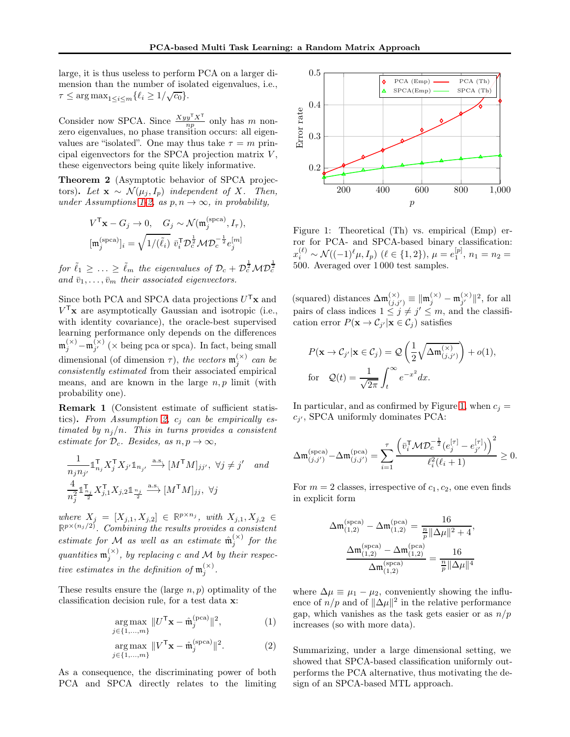large, it is thus useless to perform PCA on a larger dimension than the number of isolated eigenvalues, i.e.,  $\tau \leq \arg \max_{1 \leq i \leq m} {\{\ell_i \geq 1/\sqrt{c_0}\}}.$ 

Consider now SPCA. Since  $\frac{Xyy^{\mathsf{T}} X^{\mathsf{T}}}{np}$  only has m nonzero eigenvalues, no phase transition occurs: all eigenvalues are "isolated". One may thus take  $\tau = m$  principal eigenvectors for the SPCA projection matrix  $V$ , these eigenvectors being quite likely informative.

Theorem 2 (Asymptotic behavior of SPCA projectors). Let  $\mathbf{x} \sim \mathcal{N}(\mu_j, I_p)$  independent of X. Then, under Assumptions [1-](#page-2-1)[2,](#page-2-2) as  $p, n \rightarrow \infty$ , in probability,

$$
V^{\mathsf{T}}\mathbf{x} - G_j \to 0, \quad G_j \sim \mathcal{N}(\mathfrak{m}_j^{\text{(spca)}}, I_\tau),
$$

$$
[\mathfrak{m}_j^{\text{(spca)}}]_i = \sqrt{1/(\tilde{\ell}_i)} \ \bar{v}_i^{\mathsf{T}} \mathcal{D}_c^{\frac{1}{2}} \mathcal{M} \mathcal{D}_c^{-\frac{1}{2}} e_j^{\text{[m]}}
$$

for  $\tilde{\ell}_1 \geq ... \geq \tilde{\ell}_m$  the eigenvalues of  $\mathcal{D}_c + \mathcal{D}_c^{\frac{1}{2}}\mathcal{M}\mathcal{D}$  $\frac{1}{2}$ and  $\bar{v}_1, \ldots, \bar{v}_m$  their associated eigenvectors.

Since both PCA and SPCA data projections  $U^\mathsf{T} \mathbf{x}$  and  $V<sup>T</sup>**x**$  are asymptotically Gaussian and isotropic (i.e., with identity covariance), the oracle-best supervised learning performance only depends on the differences  $\mathfrak{m}_{j}^{(\times)}-\mathfrak{m}_{j'}^{(\times)}$  ( $\times$  being pca or spca). In fact, being small dimensional (of dimension  $\tau$ ), the vectors  $\mathfrak{m}_{j}^{(\times)}$  can be consistently estimated from their associated empirical means, and are known in the large  $n, p$  limit (with probability one).

<span id="page-3-1"></span>Remark 1 (Consistent estimate of sufficient statis-tics). From Assumption [2,](#page-2-2)  $c_j$  can be empirically estimated by  $n_j/n$ . This in turns provides a consistent estimate for  $\mathcal{D}_c$ . Besides, as  $n, p \to \infty$ ,

$$
\frac{1}{n_j n_{j'}} \mathbb{1}_{n_j}^{\mathsf{T}} X_j^{\mathsf{T}} X_{j'} \mathbb{1}_{n_{j'}} \xrightarrow{\text{a.s.}} [M^{\mathsf{T}} M]_{jj'}, \ \forall j \neq j' \quad and
$$
\n
$$
\frac{4}{n_j^2} \mathbb{1}_{\frac{n_j}{2}}^{\mathsf{T}} X_{j,1}^{\mathsf{T}} X_{j,2} \mathbb{1}_{\frac{n_j}{2}} \xrightarrow{\text{a.s.}} [M^{\mathsf{T}} M]_{jj}, \ \forall j
$$

where  $X_j = [X_{j,1}, X_{j,2}] \in \mathbb{R}^{p \times n_j}$ , with  $X_{j,1}, X_{j,2} \in \mathbb{R}^{p \times (n_j/2)}$ . Combining the results provides a consistent estimate for M as well as an estimate  $\hat{\mathfrak{m}}_j^{(\times)}$  for the quantities  $\mathfrak{m}_{j}^{(\times)}$ , by replacing c and M by their respective estimates in the definition of  $\mathfrak{m}_{j}^{(\times)}$ .

These results ensure the (large  $n, p$ ) optimality of the classification decision rule, for a test data x:

$$
\underset{j \in \{1, \ldots, m\}}{\arg \max} \, \|U^{\mathsf{T}} \mathbf{x} - \hat{\mathfrak{m}}_j^{\text{(pca)}}\|^2, \tag{1}
$$

$$
\underset{j \in \{1, \ldots, m\}}{\arg \max} \, \|V^{\mathsf{T}} \mathbf{x} - \hat{\mathfrak{m}}_j^{(\text{spca})} \|^2. \tag{2}
$$

As a consequence, the discriminating power of both PCA and SPCA directly relates to the limiting



<span id="page-3-0"></span>Figure 1: Theoretical (Th) vs. empirical (Emp) error for PCA- and SPCA-based binary classification:  $x_i^{(\ell)} \sim \mathcal{N}((-1)^{\ell} \mu, I_p) \; (\ell \in \{1, 2\}), \, \mu = e_1^{[p]}, \, n_1 = n_2 = 1$ 500. Averaged over 1 000 test samples.

(squared) distances  $\Delta \mathfrak{m}_{(j,j')}^{(\times)} \equiv ||\mathfrak{m}_j^{(\times)} - \mathfrak{m}_{j'}^{(\times)}||^2$ , for all pairs of class indices  $1 \leq j \neq j' \leq m$ , and the classification error  $P(\mathbf{x} \to C_{j'}|\mathbf{x} \in C_j)$  satisfies

$$
P(\mathbf{x} \to C_{j'} | \mathbf{x} \in C_j) = Q\left(\frac{1}{2} \sqrt{\Delta \mathfrak{m}_{(j,j')}^{(\times)}}\right) + o(1),
$$
  
for  $Q(t) = \frac{1}{\sqrt{2\pi}} \int_t^{\infty} e^{-x^2} dx.$ 

In particular, and as confirmed by Figure [1,](#page-3-0) when  $c_i =$  $c_{j'}$ , SPCA uniformly dominates PCA:

$$
\Delta \mathfrak{m}_{(j,j')}^{(\text{spca})} - \Delta \mathfrak{m}_{(j,j')}^{(\text{pca})} = \sum_{i=1}^{\tau} \frac{\left(\bar{v}_i^{\mathsf{T}} \mathcal{M} \mathcal{D}_c^{-\frac{1}{2}} (e_j^{[\tau]} - e_{j'}^{[\tau]})\right)^2}{\ell_i^2 (\ell_i + 1)} \geq 0.
$$

For  $m = 2$  classes, irrespective of  $c_1, c_2$ , one even finds in explicit form

$$
\Delta \mathfrak{m}_{(1,2)}^{(\text{spca})} - \Delta \mathfrak{m}_{(1,2)}^{(\text{pca})} = \frac{16}{\frac{n}{p} \|\Delta \mu\|^2 + 4},
$$

$$
\frac{\Delta \mathfrak{m}_{(1,2)}^{(\text{spca})} - \Delta \mathfrak{m}_{(1,2)}^{(\text{pca})}}{\Delta \mathfrak{m}_{(1,2)}^{(\text{spca})}} = \frac{16}{\frac{n}{p} \|\Delta \mu\|^4}
$$

where  $\Delta \mu \equiv \mu_1 - \mu_2$ , conveniently showing the influence of  $n/p$  and of  $\|\Delta \mu\|^2$  in the relative performance gap, which vanishes as the task gets easier or as  $n/p$ increases (so with more data).

Summarizing, under a large dimensional setting, we showed that SPCA-based classification uniformly outperforms the PCA alternative, thus motivating the design of an SPCA-based MTL approach.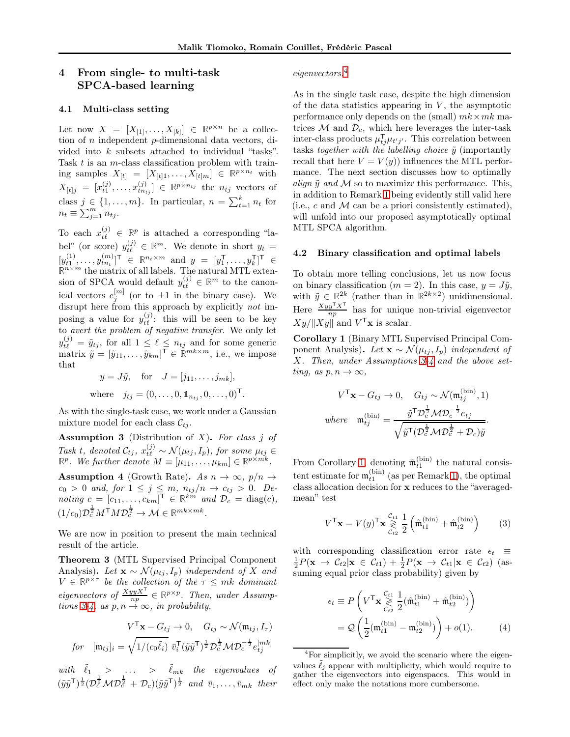# 4 From single- to multi-task SPCA-based learning

### 4.1 Multi-class setting

Let now  $X = [X_{[1]}, \ldots, X_{[k]}] \in \mathbb{R}^{p \times n}$  be a collection of  $n$  independent  $p$ -dimensional data vectors, divided into k subsets attached to individual "tasks". Task  $t$  is an  $m$ -class classification problem with training samples  $X_{[t]} = [X_{[t]1}, \ldots, X_{[t]m}] \in \mathbb{R}^{p \times n_t}$  with  $X_{[t]j} = [x_{t1}^{(j)}, \ldots, x_{tn_{tj}}^{(j)}] \in \mathbb{R}^{p \times n_{tj}}$  the  $n_{tj}$  vectors of class  $j \in \{1, \ldots, m\}$ . In particular,  $n = \sum_{t=1}^{k} n_t$  for  $n_t \equiv \sum_{j=1}^m n_{tj}.$ 

To each  $x_{t\ell}^{(j)} \in \mathbb{R}^p$  is attached a corresponding "label" (or score)  $y_{t\ell}^{(j)} \in \mathbb{R}^m$ . We denote in short  $y_t =$  $[y_{t1}^{(1)},...,y_{tn_t}^{(m)}]^{\mathsf{T}} \in \mathbb{R}^{n_t \times m}$  and  $y = [y_1^{\mathsf{T}},...,y_k^{\mathsf{T}}]^{\mathsf{T}} \in \mathbb{R}^{n \times m}$  the matrix of all labels. The natural MTL extension of SPCA would default  $y_{t\ell}^{(j)} \in \mathbb{R}^m$  to the canonical vectors  $e_j^{[m]}$  (or to  $\pm 1$  in the binary case). We disrupt here from this approach by explicitly not imposing a value for  $y_{t\ell}^{(j)}$ : this will be seen to be key to avert the problem of negative transfer. We only let  $y_{t\ell}^{(j)} = \tilde{y}_{tj}$ , for all  $1 \leq \ell \leq n_{tj}$  and for some generic matrix  $\tilde{y} = [\tilde{y}_{11}, \ldots, \tilde{y}_{km}]^{\top} \in \mathbb{R}^{mk \times m}$ , i.e., we impose that

$$
y = J\tilde{y}
$$
, for  $J = [j_{11}, \dots, j_{mk}]$ ,  
where  $j_{tj} = (0, \dots, 0, \mathbb{1}_{n_{tj}}, 0, \dots, 0)^{\mathsf{T}}$ .

As with the single-task case, we work under a Gaussian mixture model for each class  $\mathcal{C}_{t_i}$ .

<span id="page-4-0"></span>**Assumption 3** (Distribution of  $X$ ). For class j of Task t, denoted  $C_{tj}$ ,  $x_{t\ell}^{(j)} \sim \mathcal{N}(\mu_{tj}, I_p)$ , for some  $\mu_{tj} \in \mathbb{R}^p$ . We further denote  $M \equiv [\mu_{11}, \dots, \mu_{km}] \in \mathbb{R}^{p \times mk}$ .

<span id="page-4-1"></span>**Assumption 4** (Growth Rate). As  $n \to \infty$ ,  $p/n \to$  $c_0 > 0$  and, for  $1 \leq j \leq m$ ,  $n_{tj}/n \rightarrow c_{tj} > 0$ . Denoting  $c = [c_{11}, \ldots, c_{km}]^{\mathsf{T}} \in \mathbb{R}^{km}$  and  $\mathcal{D}_c = \text{diag}(c)$ ,  $(1/c_0)\mathcal{D}_c^{\frac{1}{2}}M^{\mathsf{T}}MD_c^{\frac{1}{2}} \to \mathcal{M} \in \mathbb{R}^{mk \times mk}$ .

We are now in position to present the main technical result of the article.

Theorem 3 (MTL Supervised Principal Component Analysis). Let  $\mathbf{x} \sim \mathcal{N}(\mu_{t_i}, I_p)$  independent of X and  $V \in \mathbb{R}^{p \times \tau}$  be the collection of the  $\tau \leq mk$  dominant eigenvectors of  $\frac{XyyX^{\mathsf{T}}}{np} \in \mathbb{R}^{p \times p}$ . Then, under Assump-tions [3-](#page-4-0)[4,](#page-4-1) as  $p, n \rightarrow \infty$ , in probability,

$$
V^{\mathsf{T}}\mathbf{x} - G_{tj} \to 0, \quad G_{tj} \sim \mathcal{N}(\mathfrak{m}_{tj}, I_{\tau})
$$
  
for  $[\mathfrak{m}_{tj}]_i = \sqrt{1/(c_0\tilde{\ell}_i)} \bar{v}_i^{\mathsf{T}}(\tilde{y}\tilde{y}^{\mathsf{T}})^{\frac{1}{2}} \mathcal{D}_c^{\frac{1}{2}} \mathcal{M} \mathcal{D}_c^{-\frac{1}{2}} e_{tj}^{[mk]}$ 

with  $\tilde{\ell}_1$  > ... >  $\tilde{\ell}_{mk}$  the eigenvalues of  $(\tilde{y}\tilde{y}^{\mathsf{T}})^{\frac{1}{2}}(\mathcal{D}^{\frac{1}{2}}_{c}\mathcal{M}\mathcal{D}$  $\overline{v}_c^{\frac{1}{2}} + \mathcal{D}_c)(\tilde{y}\tilde{y}^{\mathsf{T}})^{\frac{1}{2}}$  and  $\overline{v}_1, \ldots, \overline{v}_{mk}$  their

### eigenvectors.[4](#page-4-2)

As in the single task case, despite the high dimension of the data statistics appearing in  $V$ , the asymptotic performance only depends on the (small)  $mk \times mk$  matrices  $M$  and  $\mathcal{D}_c$ , which here leverages the inter-task inter-class products  $\mu_{tj}^{\mathsf{T}}\mu_{t'j'}$ . This correlation between tasks together with the labelling choice  $\tilde{y}$  (importantly recall that here  $V = V(y)$  influences the MTL performance. The next section discusses how to optimally align  $\tilde{y}$  and M so to maximize this performance. This, in addition to Remark [1](#page-3-1) being evidently still valid here (i.e.,  $c$  and  $M$  can be a priori consistently estimated), will unfold into our proposed asymptotically optimal MTL SPCA algorithm.

#### 4.2 Binary classification and optimal labels

To obtain more telling conclusions, let us now focus on binary classification ( $m = 2$ ). In this case,  $y = J\tilde{y}$ , with  $\tilde{y} \in \mathbb{R}^{2k}$  (rather than in  $\mathbb{R}^{2k \times 2}$ ) unidimensional. Here  $\frac{Xyy^{\mathsf{T}}X^{\mathsf{T}}}{np}$  has for unique non-trivial eigenvector  $|Xy| ||Xy||$  and  $V^{\mathsf{T}}\mathbf{x}$  is scalar.

<span id="page-4-3"></span>Corollary 1 (Binary MTL Supervised Principal Component Analysis). Let  $\mathbf{x} \sim \mathcal{N}(\mu_{t_i}, I_p)$  independent of X. Then, under Assumptions [3-](#page-4-0)[4](#page-4-1) and the above setting, as  $p, n \to \infty$ ,

$$
V^{\mathsf{T}}\mathbf{x} - G_{tj} \to 0, \quad G_{tj} \sim \mathcal{N}(\mathfrak{m}_{tj}^{(\text{bin})}, 1)
$$
  
where 
$$
\mathfrak{m}_{tj}^{(\text{bin})} = \frac{\tilde{y}^{\mathsf{T}} \mathcal{D}_{c}^{\frac{1}{2}} \mathcal{M} \mathcal{D}_{c}^{-\frac{1}{2}} e_{tj}}{\sqrt{\tilde{y}^{\mathsf{T}} (\mathcal{D}_{c}^{\frac{1}{2}} \mathcal{M} \mathcal{D}_{c}^{\frac{1}{2}} + \mathcal{D}_{c})\tilde{y}}}.
$$

From Corollary [1,](#page-4-3) denoting  $\hat{\mathfrak{m}}_{t1}^{(\text{bin})}$  the natural consistent estimate for  $\mathfrak{m}_{t1}^{(\text{bin})}$  (as per Remark [1\)](#page-3-1), the optimal class allocation decision for x reduces to the "averagedmean" test

$$
V^{\mathsf{T}} \mathbf{x} = V(y)^{\mathsf{T}} \mathbf{x} \underset{\mathcal{C}_{t2}}{\geq} \frac{1}{2} \left( \hat{\mathfrak{m}}_{t1}^{(\text{bin})} + \hat{\mathfrak{m}}_{t2}^{(\text{bin})} \right) \tag{3}
$$

with corresponding classification error rate  $\epsilon_t \equiv$  $\frac{1}{2}P(\mathbf{x} \to \mathcal{C}_{t2}|\mathbf{x} \in \mathcal{C}_{t1}) + \frac{1}{2}P(\mathbf{x} \to \mathcal{C}_{t1}|\mathbf{x} \in \mathcal{C}_{t2})$  (assuming equal prior class probability) given by

$$
\epsilon_t \equiv P\left(V^{\mathsf{T}} \mathbf{x} \underset{C_{t2}}{\geq} \frac{c_{t1}}{2} \left(\hat{\mathfrak{m}}_{t1}^{(\text{bin})} + \hat{\mathfrak{m}}_{t2}^{(\text{bin})}\right)\right)
$$

$$
= Q\left(\frac{1}{2}(\mathfrak{m}_{t1}^{(\text{bin})} - \mathfrak{m}_{t2}^{(\text{bin})})\right) + o(1). \tag{4}
$$

<span id="page-4-2"></span><sup>4</sup>For simplicitly, we avoid the scenario where the eigenvalues  $\tilde{\ell}_i$  appear with multiplicity, which would require to gather the eigenvectors into eigenspaces. This would in effect only make the notations more cumbersome.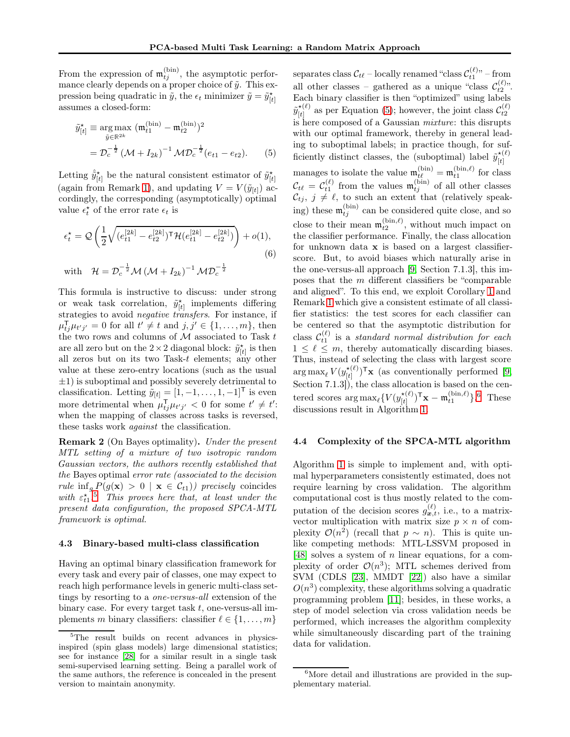From the expression of  $\mathfrak{m}_{tj}^{(\text{bin})}$ , the asymptotic performance clearly depends on a proper choice of  $\tilde{y}$ . This expression being quadratic in  $\tilde{y}$ , the  $\epsilon_t$  minimizer  $\tilde{y} = \tilde{y}_{[t]}^{\star}$ assumes a closed-form:

$$
\tilde{y}_{[t]}^{\star} \equiv \arg \max_{\tilde{y} \in \mathbb{R}^{2k}} (\mathfrak{m}_{t1}^{(\text{bin})} - \mathfrak{m}_{t2}^{(\text{bin})})^2
$$

$$
= \mathcal{D}_c^{-\frac{1}{2}} (\mathcal{M} + I_{2k})^{-1} \mathcal{M} \mathcal{D}_c^{-\frac{1}{2}} (e_{t1} - e_{t2}). \tag{5}
$$

Letting  $\hat{\tilde{y}}_{[t]}^{\star}$  be the natural consistent estimator of  $\tilde{y}_{[t]}^{\star}$ (again from Remark [1\)](#page-3-1), and updating  $V = V(\tilde{y}_{[t]})$  accordingly, the corresponding (asymptotically) optimal value  $\epsilon_t^*$  of the error rate  $\epsilon_t$  is

$$
\epsilon_t^* = \mathcal{Q}\left(\frac{1}{2}\sqrt{(e_{t1}^{[2k]} - e_{t2}^{[2k]})^{\mathsf{T}}\mathcal{H}(e_{t1}^{[2k]} - e_{t2}^{[2k]})}\right) + o(1),
$$
\n
$$
\text{with} \quad \mathcal{H} = \mathcal{D}_c^{-\frac{1}{2}}\mathcal{M}\left(\mathcal{M} + I_{2k}\right)^{-1}\mathcal{M}\mathcal{D}_c^{-\frac{1}{2}}
$$
\n
$$
(6)
$$

This formula is instructive to discuss: under strong or weak task correlation,  $\tilde{y}_{[t]}^{\star}$  implements differing strategies to avoid *negative transfers*. For instance, if  $\mu_{tj}^{\mathsf{T}}\mu_{t'j'}=0$  for all  $t'\neq t$  and  $j,j'\in\{1,\ldots,m\}$ , then the two rows and columns of  $M$  associated to Task  $t$ are all zero but on the  $2 \times 2$  diagonal block:  $\tilde{y}_{[t]}^{\star}$  is then all zeros but on its two Task- $t$  elements; any other value at these zero-entry locations (such as the usual  $\pm 1$ ) is suboptimal and possibly severely detrimental to classification. Letting  $\tilde{y}_{[t]} = [1, -1, \ldots, 1, -1]^\mathsf{T}$  is even more detrimental when  $\mu_{tj}^{\mathsf{T}}\mu_{t'j'} < 0$  for some  $t' \neq t'$ : when the mapping of classes across tasks is reversed, these tasks work *against* the classification.

Remark 2 (On Bayes optimality). Under the present MTL setting of a mixture of two isotropic random Gaussian vectors, the authors recently established that the Bayes optimal error rate (associated to the decision rule inf<sub>g</sub>  $P(g(\mathbf{x}) > 0 \mid \mathbf{x} \in C_{t1})$  precisely coincides with  $\varepsilon_{t1}^{\star}$ .<sup>[5](#page-5-0)</sup> This proves here that, at least under the present data configuration, the proposed SPCA-MTL framework is optimal.

#### 4.3 Binary-based multi-class classification

Having an optimal binary classification framework for every task and every pair of classes, one may expect to reach high performance levels in generic multi-class settings by resorting to a one-versus-all extension of the binary case. For every target task  $t$ , one-versus-all implements m binary classifiers: classifier  $\ell \in \{1, \ldots, m\}$ 

<span id="page-5-1"></span>separates class  $\mathcal{C}_{t\ell}$  – locally renamed "class  $\mathcal{C}_{t1}^{(\ell)}$ " – from all other classes – gathered as a unique "class  $\mathcal{C}_{t2}^{(\ell)}$ ". Each binary classifier is then "optimized" using labels  ${\tilde{y}^{\star(\ell)}_{\scriptscriptstyle [}}$  $\mathcal{L}(t)$  as per Equation [\(5\)](#page-5-1); however, the joint class  $\mathcal{C}_{t2}^{(\ell)}$ is here composed of a Gaussian mixture: this disrupts with our optimal framework, thereby in general leading to suboptimal labels; in practice though, for sufficiently distinct classes, the (suboptimal) label  $\tilde{y}_{h}^{*(\ell)}$  $[t]$ manages to isolate the value  $\mathfrak{m}_{t\ell}^{(\text{bin})} = \mathfrak{m}_{t1}^{(\text{bin},\ell)}$  for class  $\mathcal{C}_{t\ell} = \mathcal{C}_{t1}^{(\ell)}$  from the values  $\mathfrak{m}_{tj}^{(\text{bin})}$  of all other classes  $\mathcal{C}_{tj}, j \neq \ell$ , to such an extent that (relatively speaking) these  $\mathfrak{m}_{tj}^{(\text{bin})}$  can be considered quite close, and so close to their mean  $\mathfrak{m}_{t2}^{(\text{bin}, \ell)}$ , without much impact on the classifier performance. Finally, the class allocation for unknown data x is based on a largest classifierscore. But, to avoid biases which naturally arise in the one-versus-all approach [\[9,](#page-8-11) Section 7.1.3], this imposes that the m different classifiers be "comparable and aligned". To this end, we exploit Corollary [1](#page-4-3) and Remark [1](#page-3-1) which give a consistent estimate of all classifier statistics: the test scores for each classifier can be centered so that the asymptotic distribution for class  $\mathcal{C}_{t1}^{(\ell)}$  is a standard normal distribution for each  $1 \leq \ell \leq m$ , thereby automatically discarding biases. Thus, instead of selecting the class with largest score  $\argmax_{\ell} V(y_{[t]}^{\star (\ell)}$  $(\begin{bmatrix} \star(\ell) \\ [t] \end{bmatrix})^{\mathsf{T}}$ **x** (as conventionally performed [\[9,](#page-8-11) Section 7.1.3]), the class allocation is based on the centered scores  $\argmax_{\ell} \{V(y_{[t]}^{\star(\ell)}$  $\begin{bmatrix} \star(\ell) \\ [t] \end{bmatrix}^{\mathsf{T}} \mathbf{x} - \mathfrak{m}_{t1}^{(\text{bin},\ell)} \}$ . <sup>[6](#page-5-2)</sup> These discussions result in Algorithm [1.](#page-6-0)

#### 4.4 Complexity of the SPCA-MTL algorithm

Algorithm [1](#page-6-0) is simple to implement and, with optimal hyperparameters consistently estimated, does not require learning by cross validation. The algorithm computational cost is thus mostly related to the computation of the decision scores  $g_{\boldsymbol{x},t}^{(\ell)}$ , i.e., to a matrixvector multiplication with matrix size  $p \times n$  of complexity  $\mathcal{O}(n^2)$  (recall that  $p \sim n$ ). This is quite unlike competing methods: MTL-LSSVM proposed in [\[48\]](#page-10-11) solves a system of n linear equations, for a complexity of order  $\mathcal{O}(n^3)$ ; MTL schemes derived from SVM (CDLS [\[23\]](#page-9-18), MMDT [\[22\]](#page-9-19)) also have a similar  $O(n^3)$  complexity, these algorithms solving a quadratic programming problem [\[11\]](#page-8-12); besides, in these works, a step of model selection via cross validation needs be performed, which increases the algorithm complexity while simultaneously discarding part of the training data for validation.

<span id="page-5-0"></span><sup>&</sup>lt;sup>5</sup>The result builds on recent advances in physicsinspired (spin glass models) large dimensional statistics; see for instance [\[28\]](#page-9-17) for a similar result in a single task semi-supervised learning setting. Being a parallel work of the same authors, the reference is concealed in the present version to maintain anonymity.

<span id="page-5-2"></span><sup>&</sup>lt;sup>6</sup>More detail and illustrations are provided in the supplementary material.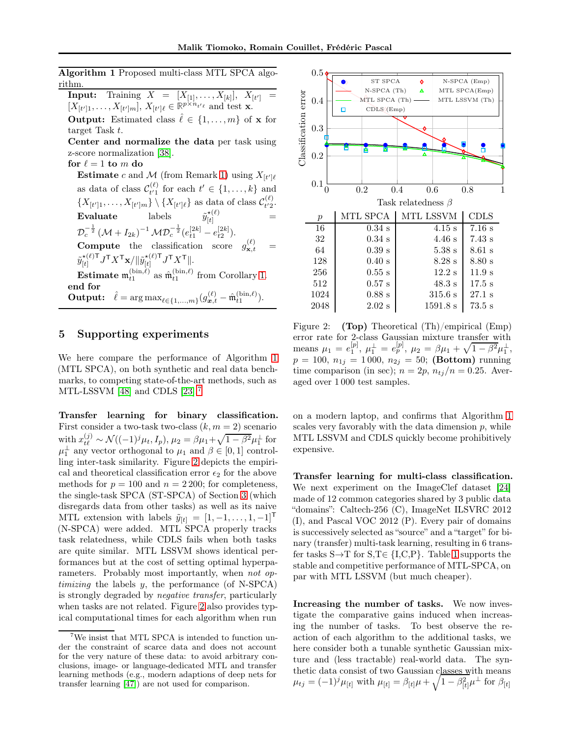<span id="page-6-0"></span>Algorithm 1 Proposed multi-class MTL SPCA algorithm.

 $\textbf{Input:} \quad \text{Training} \;\; X \;\; = \;\; [X_{[1]}, \ldots, X_{[k]}], \;\; X_{[t']} \;\; =$  $[X_{[t']1}, \ldots, X_{[t']m}], X_{[t']\ell} \in \mathbb{R}^{p \times n_{t'\ell}}$  and test **x**. **Output:** Estimated class  $\hat{\ell} \in \{1, ..., m\}$  of **x** for target Task t.

Center and normalize the data per task using z-score normalization [\[38\]](#page-9-20).

for  $\ell = 1$  to m do

**Estimate** c and M (from Remark [1\)](#page-3-1) using  $X_{[t']\ell}$ as data of class  $\mathcal{C}_{t'1}^{(\ell)}$  $t' \in \{1, \ldots, k\}$  and  $t' \in \{1, \ldots, k\}$  $\{X_{[t']1}, \ldots, X_{[t']m}\} \setminus \{X_{[t']\ell}\}\$ as data of class  $\mathcal{C}^{(\ell)}_{t'2}$  $t^{\prime}2$ .  $\textbf{Evaluate} \quad \text{labels} \quad \quad \tilde{y}_{[t]}^{\star (\ell)} \quad \text{=}$  ${\mathcal{D}_c^{-\frac{1}{2}} \left( \mathcal{M} + I_{2k} \right)^{-1} \mathcal{M} \mathcal{D}_c^{-\frac{1}{2}} (e_{t1}^{[2k]} - e_{t2}^{[2k]}})}.$ **Compute** the classification score  $g_{\mathbf{x},t}^{(\ell)}$  $\mathbf{x},t =$  $\tilde{y}_{\text{H}}^{\star(\ell) \mathsf{T}}$  $\frac{\mathbf{t}^{(\ell)}\mathsf{T}}{[t]}J^\mathsf{T} X^\mathsf{T} \mathbf{x} / \|\tilde{y}_{[t]}^{\mathbf{t}^{(\ell)}\mathsf{T}}$  $\frac{\star(\ell) \mathsf{T}}{[t]} J^\mathsf{T} X^\mathsf{T} \Vert.$ **Estimate**  $\mathfrak{m}_{t1}^{(\text{bin}, \ell)}$  as  $\hat{\mathfrak{m}}_{t1}^{(\text{bin}, \ell)}$  from Corollary [1.](#page-4-3) end for **Output:**  $\hat{\ell} = \arg \max_{\ell \in \{1,...,m\}} (g_{\bm{x},t}^{(\ell)} - \hat{\mathfrak{m}}_{t1}^{(\text{bin},\ell)}).$ 

### 5 Supporting experiments

We here compare the performance of Algorithm [1](#page-6-0) (MTL SPCA), on both synthetic and real data benchmarks, to competing state-of-the-art methods, such as MTL-LSSVM [\[48\]](#page-10-11) and CDLS [\[23\]](#page-9-18).<sup>[7](#page-6-1)</sup>

Transfer learning for binary classification. First consider a two-task two-class  $(k, m = 2)$  scenario with  $x_{t\ell}^{(j)} \sim \mathcal{N}((-1)^j \mu_t, I_p), \mu_2 = \beta \mu_1 + \sqrt{1 - \beta^2} \mu_1^{\perp}$  for  $\mu_1^{\perp}$  any vector orthogonal to  $\mu_1$  and  $\beta \in [0, 1]$  controlling inter-task similarity. Figure [2](#page-6-2) depicts the empirical and theoretical classification error  $\epsilon_2$  for the above methods for  $p = 100$  and  $n = 2200$ ; for completeness, the single-task SPCA (ST-SPCA) of Section [3](#page-1-1) (which disregards data from other tasks) as well as its naive MTL extension with labels  $\tilde{y}_{[t]} = [1, -1, \ldots, 1, -1]^\mathsf{T}$ (N-SPCA) were added. MTL SPCA properly tracks task relatedness, while CDLS fails when both tasks are quite similar. MTL LSSVM shows identical performances but at the cost of setting optimal hyperparameters. Probably most importantly, when not op*timizing* the labels  $y$ , the performance (of N-SPCA) is strongly degraded by negative transfer, particularly when tasks are not related. Figure [2](#page-6-2) also provides typical computational times for each algorithm when run



<span id="page-6-2"></span>Figure 2: (Top) Theoretical (Th)/empirical (Emp) error rate for 2-class Gaussian mixture transfer with means  $\mu_1 = e_1^{[p]}, \mu_1^{\perp} = e_p^{[p]}, \mu_2 = \beta \mu_1 + \sqrt{1 - \beta^2} \mu_1^{\perp},$  $p = 100, n_{1j} = 1000, n_{2j} = 50;$  (Bottom) running time comparison (in sec);  $n = 2p$ ,  $n_{ti}/n = 0.25$ . Averaged over 1 000 test samples.

on a modern laptop, and confirms that Algorithm [1](#page-6-0) scales very favorably with the data dimension  $p$ , while MTL LSSVM and CDLS quickly become prohibitively expensive.

Transfer learning for multi-class classification. We next experiment on the ImageClef dataset [\[24\]](#page-9-21) made of 12 common categories shared by 3 public data "domains": Caltech-256 (C), ImageNet ILSVRC 2012 (I), and Pascal VOC 2012 (P). Every pair of domains is successively selected as "source" and a "target" for binary (transfer) multi-task learning, resulting in 6 transfer tasks  $S \rightarrow T$  for  $S, T \in \{I, C, P\}$ . Table [1](#page-7-2) supports the stable and competitive performance of MTL-SPCA, on par with MTL LSSVM (but much cheaper).

Increasing the number of tasks. We now investigate the comparative gains induced when increasing the number of tasks. To best observe the reaction of each algorithm to the additional tasks, we here consider both a tunable synthetic Gaussian mixture and (less tractable) real-world data. The synthetic data consist of two Gaussian classes with means  $\mu_{tj} = (-1)^j \mu_{[t]}$  with  $\mu_{[t]} = \beta_{[t]} \mu + \sqrt{1 - \beta_{[t]}^2} \mu^{\perp}$  for  $\beta_{[t]}$ 

<span id="page-6-1"></span>We insist that MTL SPCA is intended to function under the constraint of scarce data and does not account for the very nature of these data: to avoid arbitrary conclusions, image- or language-dedicated MTL and transfer learning methods (e.g., modern adaptions of deep nets for transfer learning [\[47\]](#page-10-13)) are not used for comparison.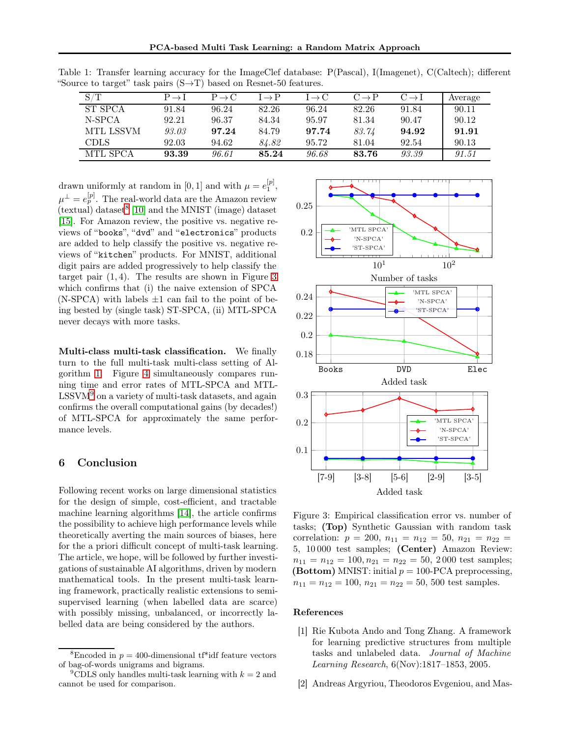<span id="page-7-2"></span>

| S/T         | $P \rightarrow I$ | $P \rightarrow C$ | $I \rightarrow P$ | $I \rightarrow C$ | $C \rightarrow P$ | $C \rightarrow I$ | Average |
|-------------|-------------------|-------------------|-------------------|-------------------|-------------------|-------------------|---------|
| ST SPCA     | 91.84             | 96.24             | 82.26             | 96.24             | 82.26             | 91.84             | 90.11   |
| N-SPCA      | 92.21             | 96.37             | 84.34             | 95.97             | 81.34             | 90.47             | 90.12   |
| MTL LSSVM   | 93.03             | 97.24             | 84.79             | 97.74             | 83.74             | 94.92             | 91.91   |
| <b>CDLS</b> | 92.03             | 94.62             | 84.82             | 95.72             | 81.04             | 92.54             | 90.13   |
| MTL SPCA    | 93.39             | 96.61             | 85.24             | 96.68             | 83.76             | 93.39             | 91.51   |

Table 1: Transfer learning accuracy for the ImageClef database: P(Pascal), I(Imagenet), C(Caltech); different "Source to target" task pairs  $(S \rightarrow T)$  based on Resnet-50 features.

drawn uniformly at random in [0, 1] and with  $\mu = e_1^{[p]}$ ,  $\mu^{\perp}=e_{p}^{[p]}.$  The real-world data are the Amazon review  $($ textual $)$  dataset<sup>[8](#page-7-3)</sup> [\[10\]](#page-8-13) and the MNIST (image) dataset [\[15\]](#page-8-14). For Amazon review, the positive vs. negative reviews of "books", "dvd" and "electronics" products are added to help classify the positive vs. negative reviews of "kitchen" products. For MNIST, additional digit pairs are added progressively to help classify the target pair  $(1, 4)$ . The results are shown in Figure [3](#page-7-4) which confirms that (i) the naive extension of SPCA  $(N-SPCA)$  with labels  $\pm 1$  can fail to the point of being bested by (single task) ST-SPCA, (ii) MTL-SPCA never decays with more tasks.

Multi-class multi-task classification. We finally turn to the full multi-task multi-class setting of Algorithm [1.](#page-6-0) Figure [4](#page-8-15) simultaneously compares running time and error rates of MTL-SPCA and MTL- $LSSVM<sup>9</sup>$  $LSSVM<sup>9</sup>$  $LSSVM<sup>9</sup>$  on a variety of multi-task datasets, and again confirms the overall computational gains (by decades!) of MTL-SPCA for approximately the same performance levels.

### 6 Conclusion

Following recent works on large dimensional statistics for the design of simple, cost-efficient, and tractable machine learning algorithms [\[14\]](#page-8-16), the article confirms the possibility to achieve high performance levels while theoretically averting the main sources of biases, here for the a priori difficult concept of multi-task learning. The article, we hope, will be followed by further investigations of sustainable AI algorithms, driven by modern mathematical tools. In the present multi-task learning framework, practically realistic extensions to semisupervised learning (when labelled data are scarce) with possibly missing, unbalanced, or incorrectly labelled data are being considered by the authors.



<span id="page-7-4"></span>Figure 3: Empirical classification error vs. number of tasks; (Top) Synthetic Gaussian with random task correlation:  $p = 200, n_{11} = n_{12} = 50, n_{21} = n_{22}$ 5, 10 000 test samples; (Center) Amazon Review:  $n_{11} = n_{12} = 100, n_{21} = n_{22} = 50, 2000$  test samples; (Bottom) MNIST: initial  $p = 100$ -PCA preprocessing,  $n_{11} = n_{12} = 100, n_{21} = n_{22} = 50, 500$  test samples.

#### <span id="page-7-1"></span>References

- [1] Rie Kubota Ando and Tong Zhang. A framework for learning predictive structures from multiple tasks and unlabeled data. Journal of Machine Learning Research, 6(Nov):1817–1853, 2005.
- <span id="page-7-0"></span>[2] Andreas Argyriou, Theodoros Evgeniou, and Mas-

<span id="page-7-3"></span><sup>&</sup>lt;sup>8</sup>Encoded in  $p = 400$ -dimensional tf\*idf feature vectors of bag-of-words unigrams and bigrams.

<span id="page-7-5"></span><sup>&</sup>lt;sup>9</sup>CDLS only handles multi-task learning with  $k = 2$  and cannot be used for comparison.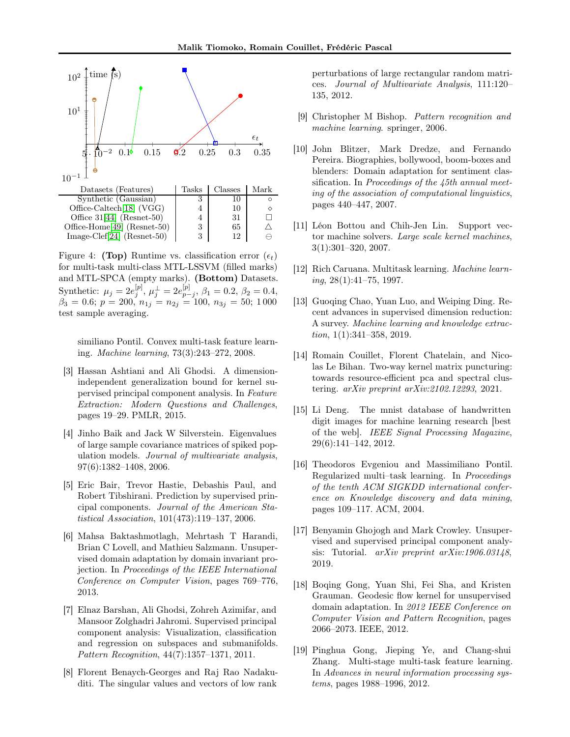

<span id="page-8-15"></span>Figure 4: (Top) Runtime vs. classification error  $(\epsilon_t)$ for multi-task multi-class MTL-LSSVM (filled marks) and MTL-SPCA (empty marks). (Bottom) Datasets. Synthetic:  $\mu_j = 2e^{[p]}_j$ ,  $\mu_j^{\perp} = 2e^{[p]}_{p-j}$ ,  $\beta_1 = 0.2$ ,  $\beta_2 = 0.4$ ,  $\beta_3 = 0.6; p = 200, n_{1j} = n_{2j} = 100, n_{3j} = 50; 1000$ test sample averaging.

similiano Pontil. Convex multi-task feature learning. Machine learning, 73(3):243–272, 2008.

- <span id="page-8-8"></span>[3] Hassan Ashtiani and Ali Ghodsi. A dimensionindependent generalization bound for kernel supervised principal component analysis. In Feature Extraction: Modern Questions and Challenges, pages 19–29. PMLR, 2015.
- <span id="page-8-7"></span>[4] Jinho Baik and Jack W Silverstein. Eigenvalues of large sample covariance matrices of spiked population models. Journal of multivariate analysis, 97(6):1382–1408, 2006.
- <span id="page-8-1"></span>[5] Eric Bair, Trevor Hastie, Debashis Paul, and Robert Tibshirani. Prediction by supervised principal components. Journal of the American Statistical Association, 101(473):119–137, 2006.
- <span id="page-8-9"></span>[6] Mahsa Baktashmotlagh, Mehrtash T Harandi, Brian C Lovell, and Mathieu Salzmann. Unsupervised domain adaptation by domain invariant projection. In Proceedings of the IEEE International Conference on Computer Vision, pages 769–776, 2013.
- <span id="page-8-0"></span>[7] Elnaz Barshan, Ali Ghodsi, Zohreh Azimifar, and Mansoor Zolghadri Jahromi. Supervised principal component analysis: Visualization, classification and regression on subspaces and submanifolds. Pattern Recognition, 44(7):1357–1371, 2011.
- <span id="page-8-6"></span>[8] Florent Benaych-Georges and Raj Rao Nadakuditi. The singular values and vectors of low rank

perturbations of large rectangular random matrices. Journal of Multivariate Analysis, 111:120– 135, 2012.

- <span id="page-8-13"></span><span id="page-8-11"></span>[9] Christopher M Bishop. Pattern recognition and machine learning. springer, 2006.
- [10] John Blitzer, Mark Dredze, and Fernando Pereira. Biographies, bollywood, boom-boxes and blenders: Domain adaptation for sentiment classification. In Proceedings of the 45th annual meeting of the association of computational linguistics, pages 440–447, 2007.
- <span id="page-8-12"></span>[11] Léon Bottou and Chih-Jen Lin. Support vector machine solvers. Large scale kernel machines, 3(1):301–320, 2007.
- <span id="page-8-2"></span>[12] Rich Caruana. Multitask learning. Machine learn $ing, 28(1):41–75, 1997.$
- <span id="page-8-10"></span>[13] Guoqing Chao, Yuan Luo, and Weiping Ding. Recent advances in supervised dimension reduction: A survey. Machine learning and knowledge extraction, 1(1):341–358, 2019.
- <span id="page-8-16"></span>[14] Romain Couillet, Florent Chatelain, and Nicolas Le Bihan. Two-way kernel matrix puncturing: towards resource-efficient pca and spectral clustering. arXiv preprint arXiv:2102.12293, 2021.
- <span id="page-8-14"></span>[15] Li Deng. The mnist database of handwritten digit images for machine learning research [best of the web]. IEEE Signal Processing Magazine, 29(6):141–142, 2012.
- <span id="page-8-3"></span>[16] Theodoros Evgeniou and Massimiliano Pontil. Regularized multi–task learning. In Proceedings of the tenth ACM SIGKDD international conference on Knowledge discovery and data mining, pages 109–117. ACM, 2004.
- <span id="page-8-5"></span>[17] Benyamin Ghojogh and Mark Crowley. Unsupervised and supervised principal component analysis: Tutorial. arXiv preprint arXiv:1906.03148, 2019.
- <span id="page-8-17"></span>[18] Boqing Gong, Yuan Shi, Fei Sha, and Kristen Grauman. Geodesic flow kernel for unsupervised domain adaptation. In 2012 IEEE Conference on Computer Vision and Pattern Recognition, pages 2066–2073. IEEE, 2012.
- <span id="page-8-4"></span>[19] Pinghua Gong, Jieping Ye, and Chang-shui Zhang. Multi-stage multi-task feature learning. In Advances in neural information processing systems, pages 1988–1996, 2012.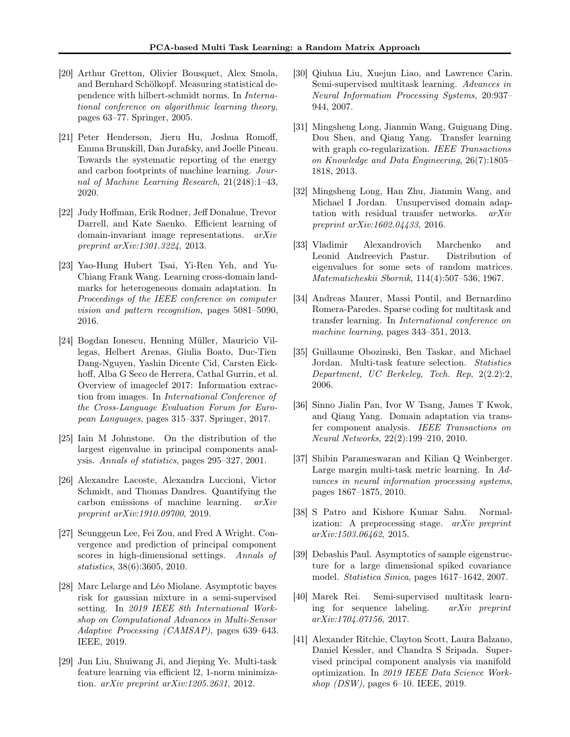- <span id="page-9-15"></span>[20] Arthur Gretton, Olivier Bousquet, Alex Smola, and Bernhard Schölkopf. Measuring statistical dependence with hilbert-schmidt norms. In International conference on algorithmic learning theory, pages 63–77. Springer, 2005.
- <span id="page-9-6"></span>[21] Peter Henderson, Jieru Hu, Joshua Romoff, Emma Brunskill, Dan Jurafsky, and Joelle Pineau. Towards the systematic reporting of the energy and carbon footprints of machine learning. Journal of Machine Learning Research, 21(248):1–43, 2020.
- <span id="page-9-19"></span>[22] Judy Hoffman, Erik Rodner, Jeff Donahue, Trevor Darrell, and Kate Saenko. Efficient learning of domain-invariant image representations.  $arXiv$ preprint arXiv:1301.3224, 2013.
- <span id="page-9-18"></span>[23] Yao-Hung Hubert Tsai, Yi-Ren Yeh, and Yu-Chiang Frank Wang. Learning cross-domain landmarks for heterogeneous domain adaptation. In Proceedings of the IEEE conference on computer vision and pattern recognition, pages 5081–5090, 2016.
- <span id="page-9-21"></span>[24] Bogdan Ionescu, Henning Müller, Mauricio Villegas, Helbert Arenas, Giulia Boato, Duc-Tien Dang-Nguyen, Yashin Dicente Cid, Carsten Eickhoff, Alba G Seco de Herrera, Cathal Gurrin, et al. Overview of imageclef 2017: Information extraction from images. In International Conference of the Cross-Language Evaluation Forum for European Languages, pages 315–337. Springer, 2017.
- <span id="page-9-8"></span>[25] Iain M Johnstone. On the distribution of the largest eigenvalue in principal components analysis. Annals of statistics, pages 295–327, 2001.
- <span id="page-9-5"></span>[26] Alexandre Lacoste, Alexandra Luccioni, Victor Schmidt, and Thomas Dandres. Quantifying the carbon emissions of machine learning. arXiv preprint arXiv:1910.09700, 2019.
- <span id="page-9-9"></span>[27] Seunggeun Lee, Fei Zou, and Fred A Wright. Convergence and prediction of principal component scores in high-dimensional settings. Annals of statistics, 38(6):3605, 2010.
- <span id="page-9-17"></span>[28] Marc Lelarge and Léo Miolane. Asymptotic bayes risk for gaussian mixture in a semi-supervised setting. In 2019 IEEE 8th International Workshop on Computational Advances in Multi-Sensor Adaptive Processing (CAMSAP), pages 639–643. IEEE, 2019.
- <span id="page-9-14"></span>[29] Jun Liu, Shuiwang Ji, and Jieping Ye. Multi-task feature learning via efficient l2, 1-norm minimization. arXiv preprint arXiv:1205.2631, 2012.
- <span id="page-9-13"></span>[30] Qiuhua Liu, Xuejun Liao, and Lawrence Carin. Semi-supervised multitask learning. Advances in Neural Information Processing Systems, 20:937– 944, 2007.
- <span id="page-9-4"></span>[31] Mingsheng Long, Jianmin Wang, Guiguang Ding, Dou Shen, and Qiang Yang. Transfer learning with graph co-regularization. IEEE Transactions on Knowledge and Data Engineering, 26(7):1805– 1818, 2013.
- <span id="page-9-11"></span>[32] Mingsheng Long, Han Zhu, Jianmin Wang, and Michael I Jordan. Unsupervised domain adaptation with residual transfer networks. arXiv preprint arXiv:1602.04433, 2016.
- <span id="page-9-16"></span>[33] Vladimir Alexandrovich Marchenko and Leonid Andreevich Pastur. Distribution of eigenvalues for some sets of random matrices. Matematicheskii Sbornik, 114(4):507–536, 1967.
- <span id="page-9-1"></span>[34] Andreas Maurer, Massi Pontil, and Bernardino Romera-Paredes. Sparse coding for multitask and transfer learning. In International conference on machine learning, pages 343–351, 2013.
- <span id="page-9-3"></span>[35] Guillaume Obozinski, Ben Taskar, and Michael Jordan. Multi-task feature selection. Statistics Department, UC Berkeley, Tech. Rep, 2(2.2):2, 2006.
- <span id="page-9-2"></span>[36] Sinno Jialin Pan, Ivor W Tsang, James T Kwok, and Qiang Yang. Domain adaptation via transfer component analysis. IEEE Transactions on Neural Networks, 22(2):199–210, 2010.
- <span id="page-9-0"></span>[37] Shibin Parameswaran and Kilian Q Weinberger. Large margin multi-task metric learning. In Advances in neural information processing systems, pages 1867–1875, 2010.
- <span id="page-9-20"></span>[38] S Patro and Kishore Kumar Sahu. Normalization: A preprocessing stage. arXiv preprint arXiv:1503.06462, 2015.
- <span id="page-9-10"></span>[39] Debashis Paul. Asymptotics of sample eigenstructure for a large dimensional spiked covariance model. Statistica Sinica, pages 1617–1642, 2007.
- <span id="page-9-12"></span>[40] Marek Rei. Semi-supervised multitask learning for sequence labeling. arXiv preprint arXiv:1704.07156, 2017.
- <span id="page-9-7"></span>[41] Alexander Ritchie, Clayton Scott, Laura Balzano, Daniel Kessler, and Chandra S Sripada. Supervised principal component analysis via manifold optimization. In 2019 IEEE Data Science Workshop (DSW), pages 6–10. IEEE, 2019.